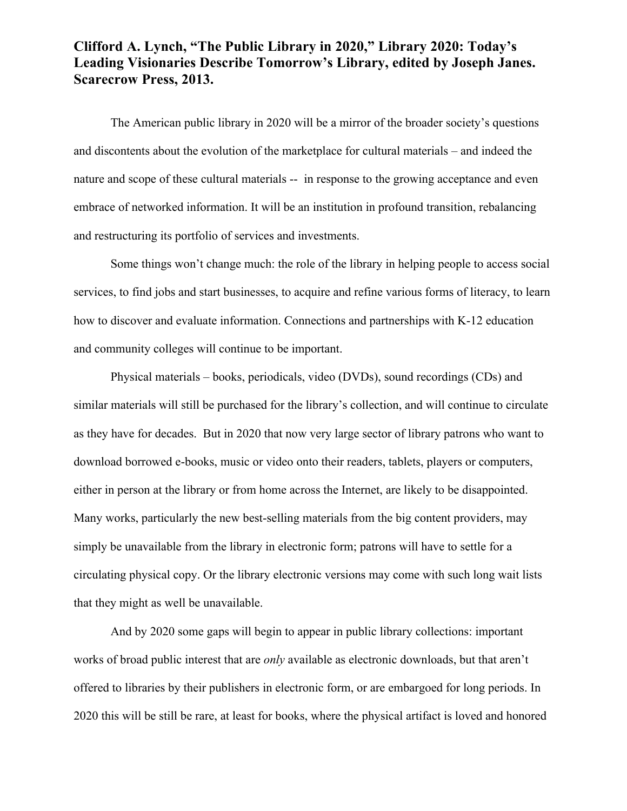## **Clifford A. Lynch, "The Public Library in 2020," Library 2020: Today's Leading Visionaries Describe Tomorrow's Library, edited by Joseph Janes. Scarecrow Press, 2013.**

The American public library in 2020 will be a mirror of the broader society's questions and discontents about the evolution of the marketplace for cultural materials – and indeed the nature and scope of these cultural materials -- in response to the growing acceptance and even embrace of networked information. It will be an institution in profound transition, rebalancing and restructuring its portfolio of services and investments.

Some things won't change much: the role of the library in helping people to access social services, to find jobs and start businesses, to acquire and refine various forms of literacy, to learn how to discover and evaluate information. Connections and partnerships with K-12 education and community colleges will continue to be important.

Physical materials – books, periodicals, video (DVDs), sound recordings (CDs) and similar materials will still be purchased for the library's collection, and will continue to circulate as they have for decades. But in 2020 that now very large sector of library patrons who want to download borrowed e-books, music or video onto their readers, tablets, players or computers, either in person at the library or from home across the Internet, are likely to be disappointed. Many works, particularly the new best-selling materials from the big content providers, may simply be unavailable from the library in electronic form; patrons will have to settle for a circulating physical copy. Or the library electronic versions may come with such long wait lists that they might as well be unavailable.

And by 2020 some gaps will begin to appear in public library collections: important works of broad public interest that are *only* available as electronic downloads, but that aren't offered to libraries by their publishers in electronic form, or are embargoed for long periods. In 2020 this will be still be rare, at least for books, where the physical artifact is loved and honored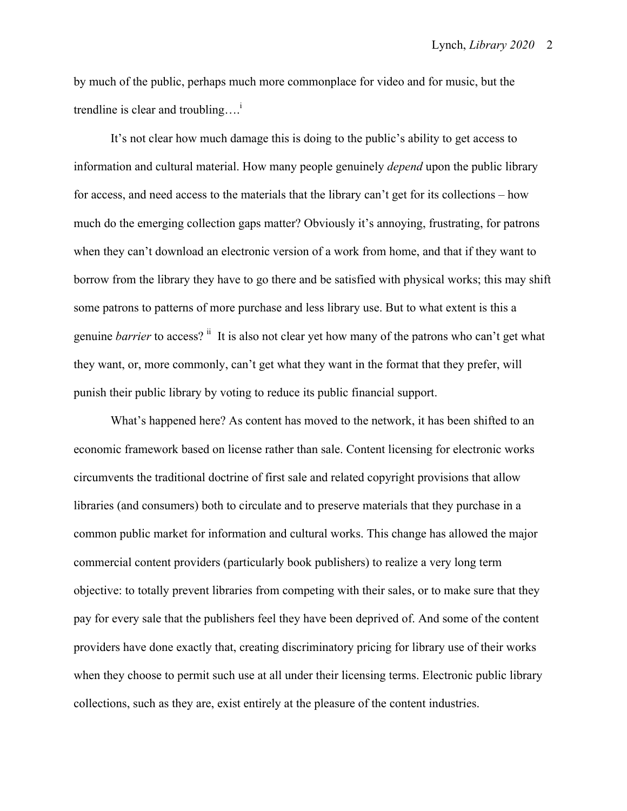by much of the public, perhaps much more commonplace for video and for music, but the trendline is clear and troubling....<sup>i</sup>

It's not clear how much damage this is doing to the public's ability to get access to information and cultural material. How many people genuinely *depend* upon the public library for access, and need access to the materials that the library can't get for its collections – how much do the emerging collection gaps matter? Obviously it's annoying, frustrating, for patrons when they can't download an electronic version of a work from home, and that if they want to borrow from the library they have to go there and be satisfied with physical works; this may shift some patrons to patterns of more purchase and less library use. But to what extent is this a genuine *barrier* to access? <sup>ii</sup> It is also not clear yet how many of the patrons who can't get what they want, or, more commonly, can't get what they want in the format that they prefer, will punish their public library by voting to reduce its public financial support.

What's happened here? As content has moved to the network, it has been shifted to an economic framework based on license rather than sale. Content licensing for electronic works circumvents the traditional doctrine of first sale and related copyright provisions that allow libraries (and consumers) both to circulate and to preserve materials that they purchase in a common public market for information and cultural works. This change has allowed the major commercial content providers (particularly book publishers) to realize a very long term objective: to totally prevent libraries from competing with their sales, or to make sure that they pay for every sale that the publishers feel they have been deprived of. And some of the content providers have done exactly that, creating discriminatory pricing for library use of their works when they choose to permit such use at all under their licensing terms. Electronic public library collections, such as they are, exist entirely at the pleasure of the content industries.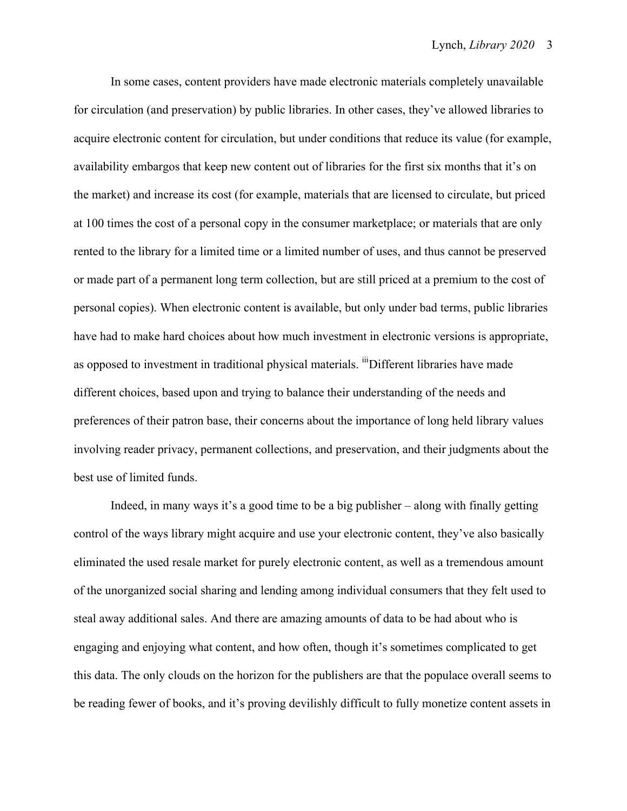In some cases, content providers have made electronic materials completely unavailable for circulation (and preservation) by public libraries. In other cases, they've allowed libraries to acquire electronic content for circulation, but under conditions that reduce its value (for example, availability embargos that keep new content out of libraries for the first six months that it's on the market) and increase its cost (for example, materials that are licensed to circulate, but priced at 100 times the cost of a personal copy in the consumer marketplace; or materials that are only rented to the library for a limited time or a limited number of uses, and thus cannot be preserved or made part of a permanent long term collection, but are still priced at a premium to the cost of personal copies). When electronic content is available, but only under bad terms, public libraries have had to make hard choices about how much investment in electronic versions is appropriate, as opposed to investment in traditional physical materials. <sup>iii</sup>Different libraries have made different choices, based upon and trying to balance their understanding of the needs and preferences of their patron base, their concerns about the importance of long held library values involving reader privacy, permanent collections, and preservation, and their judgments about the best use of limited funds.

Indeed, in many ways it's a good time to be a big publisher – along with finally getting control of the ways library might acquire and use your electronic content, they've also basically eliminated the used resale market for purely electronic content, as well as a tremendous amount of the unorganized social sharing and lending among individual consumers that they felt used to steal away additional sales. And there are amazing amounts of data to be had about who is engaging and enjoying what content, and how often, though it's sometimes complicated to get this data. The only clouds on the horizon for the publishers are that the populace overall seems to be reading fewer of books, and it's proving devilishly difficult to fully monetize content assets in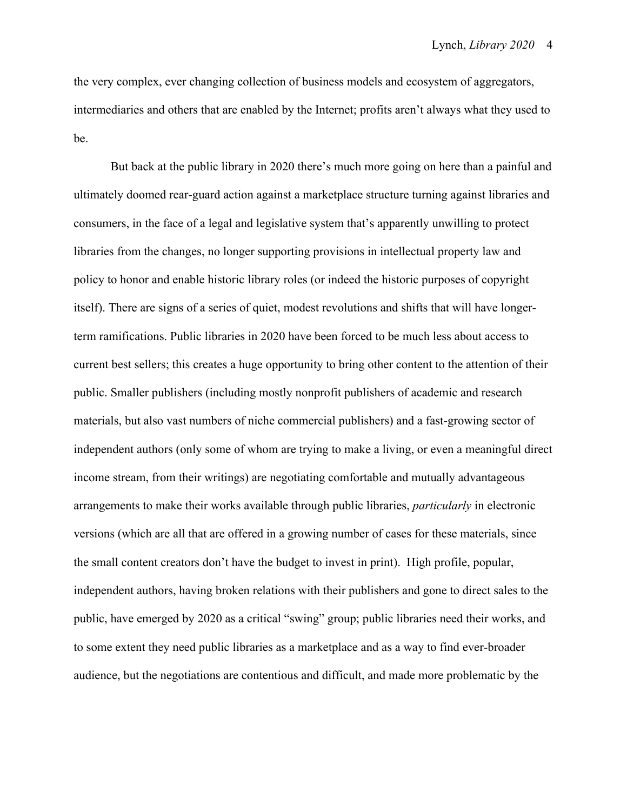the very complex, ever changing collection of business models and ecosystem of aggregators, intermediaries and others that are enabled by the Internet; profits aren't always what they used to be.

But back at the public library in 2020 there's much more going on here than a painful and ultimately doomed rear-guard action against a marketplace structure turning against libraries and consumers, in the face of a legal and legislative system that's apparently unwilling to protect libraries from the changes, no longer supporting provisions in intellectual property law and policy to honor and enable historic library roles (or indeed the historic purposes of copyright itself). There are signs of a series of quiet, modest revolutions and shifts that will have longerterm ramifications. Public libraries in 2020 have been forced to be much less about access to current best sellers; this creates a huge opportunity to bring other content to the attention of their public. Smaller publishers (including mostly nonprofit publishers of academic and research materials, but also vast numbers of niche commercial publishers) and a fast-growing sector of independent authors (only some of whom are trying to make a living, or even a meaningful direct income stream, from their writings) are negotiating comfortable and mutually advantageous arrangements to make their works available through public libraries, *particularly* in electronic versions (which are all that are offered in a growing number of cases for these materials, since the small content creators don't have the budget to invest in print). High profile, popular, independent authors, having broken relations with their publishers and gone to direct sales to the public, have emerged by 2020 as a critical "swing" group; public libraries need their works, and to some extent they need public libraries as a marketplace and as a way to find ever-broader audience, but the negotiations are contentious and difficult, and made more problematic by the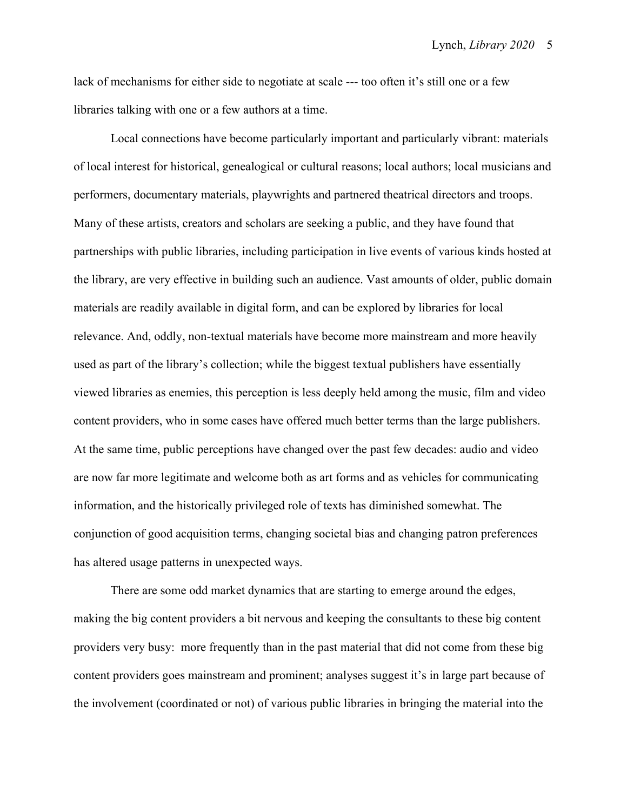lack of mechanisms for either side to negotiate at scale --- too often it's still one or a few libraries talking with one or a few authors at a time.

Local connections have become particularly important and particularly vibrant: materials of local interest for historical, genealogical or cultural reasons; local authors; local musicians and performers, documentary materials, playwrights and partnered theatrical directors and troops. Many of these artists, creators and scholars are seeking a public, and they have found that partnerships with public libraries, including participation in live events of various kinds hosted at the library, are very effective in building such an audience. Vast amounts of older, public domain materials are readily available in digital form, and can be explored by libraries for local relevance. And, oddly, non-textual materials have become more mainstream and more heavily used as part of the library's collection; while the biggest textual publishers have essentially viewed libraries as enemies, this perception is less deeply held among the music, film and video content providers, who in some cases have offered much better terms than the large publishers. At the same time, public perceptions have changed over the past few decades: audio and video are now far more legitimate and welcome both as art forms and as vehicles for communicating information, and the historically privileged role of texts has diminished somewhat. The conjunction of good acquisition terms, changing societal bias and changing patron preferences has altered usage patterns in unexpected ways.

There are some odd market dynamics that are starting to emerge around the edges, making the big content providers a bit nervous and keeping the consultants to these big content providers very busy: more frequently than in the past material that did not come from these big content providers goes mainstream and prominent; analyses suggest it's in large part because of the involvement (coordinated or not) of various public libraries in bringing the material into the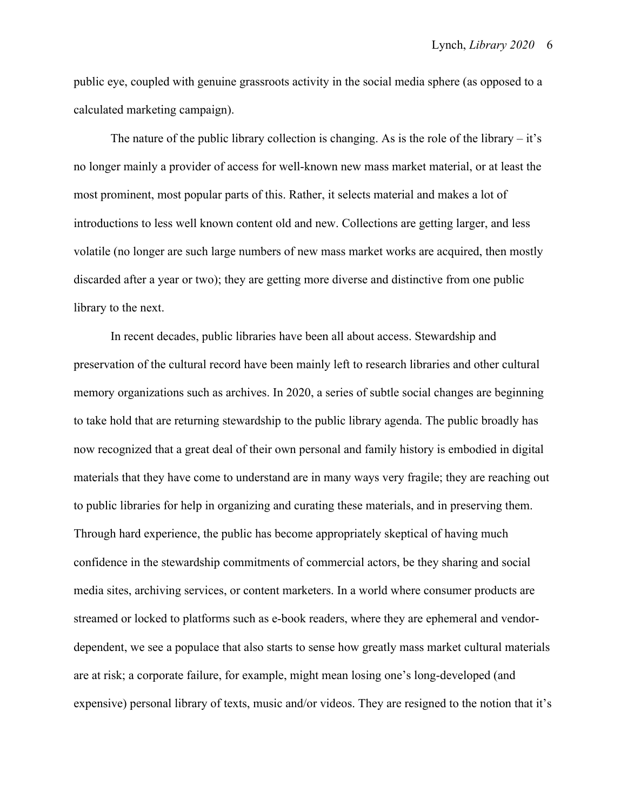public eye, coupled with genuine grassroots activity in the social media sphere (as opposed to a calculated marketing campaign).

The nature of the public library collection is changing. As is the role of the library  $-i\mathbf{t}$ 's no longer mainly a provider of access for well-known new mass market material, or at least the most prominent, most popular parts of this. Rather, it selects material and makes a lot of introductions to less well known content old and new. Collections are getting larger, and less volatile (no longer are such large numbers of new mass market works are acquired, then mostly discarded after a year or two); they are getting more diverse and distinctive from one public library to the next.

In recent decades, public libraries have been all about access. Stewardship and preservation of the cultural record have been mainly left to research libraries and other cultural memory organizations such as archives. In 2020, a series of subtle social changes are beginning to take hold that are returning stewardship to the public library agenda. The public broadly has now recognized that a great deal of their own personal and family history is embodied in digital materials that they have come to understand are in many ways very fragile; they are reaching out to public libraries for help in organizing and curating these materials, and in preserving them. Through hard experience, the public has become appropriately skeptical of having much confidence in the stewardship commitments of commercial actors, be they sharing and social media sites, archiving services, or content marketers. In a world where consumer products are streamed or locked to platforms such as e-book readers, where they are ephemeral and vendordependent, we see a populace that also starts to sense how greatly mass market cultural materials are at risk; a corporate failure, for example, might mean losing one's long-developed (and expensive) personal library of texts, music and/or videos. They are resigned to the notion that it's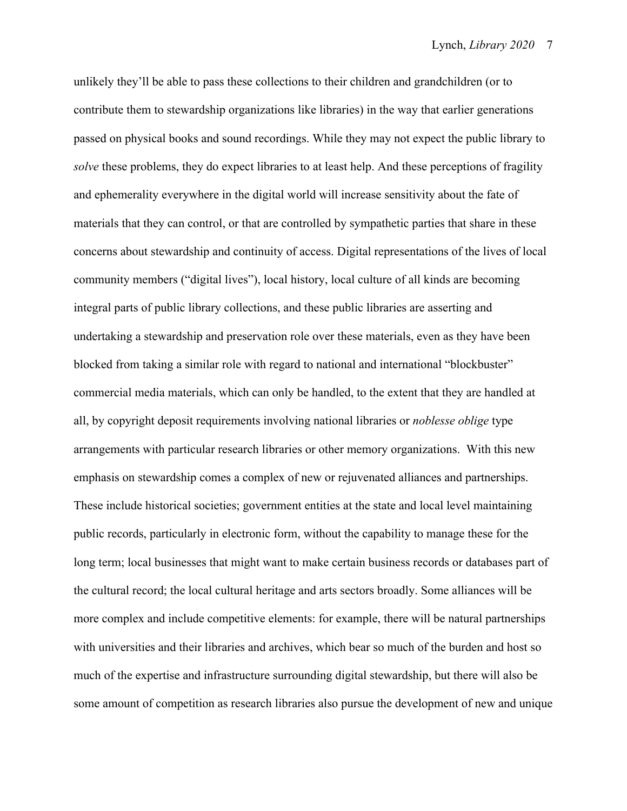unlikely they'll be able to pass these collections to their children and grandchildren (or to contribute them to stewardship organizations like libraries) in the way that earlier generations passed on physical books and sound recordings. While they may not expect the public library to *solve* these problems, they do expect libraries to at least help. And these perceptions of fragility and ephemerality everywhere in the digital world will increase sensitivity about the fate of materials that they can control, or that are controlled by sympathetic parties that share in these concerns about stewardship and continuity of access. Digital representations of the lives of local community members ("digital lives"), local history, local culture of all kinds are becoming integral parts of public library collections, and these public libraries are asserting and undertaking a stewardship and preservation role over these materials, even as they have been blocked from taking a similar role with regard to national and international "blockbuster" commercial media materials, which can only be handled, to the extent that they are handled at all, by copyright deposit requirements involving national libraries or *noblesse oblige* type arrangements with particular research libraries or other memory organizations. With this new emphasis on stewardship comes a complex of new or rejuvenated alliances and partnerships. These include historical societies; government entities at the state and local level maintaining public records, particularly in electronic form, without the capability to manage these for the long term; local businesses that might want to make certain business records or databases part of the cultural record; the local cultural heritage and arts sectors broadly. Some alliances will be more complex and include competitive elements: for example, there will be natural partnerships with universities and their libraries and archives, which bear so much of the burden and host so much of the expertise and infrastructure surrounding digital stewardship, but there will also be some amount of competition as research libraries also pursue the development of new and unique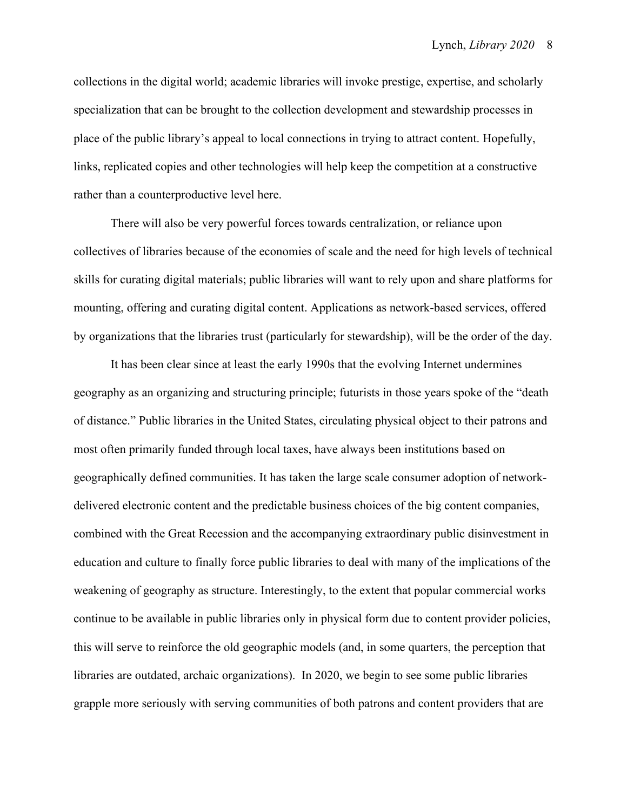collections in the digital world; academic libraries will invoke prestige, expertise, and scholarly specialization that can be brought to the collection development and stewardship processes in place of the public library's appeal to local connections in trying to attract content. Hopefully, links, replicated copies and other technologies will help keep the competition at a constructive rather than a counterproductive level here.

There will also be very powerful forces towards centralization, or reliance upon collectives of libraries because of the economies of scale and the need for high levels of technical skills for curating digital materials; public libraries will want to rely upon and share platforms for mounting, offering and curating digital content. Applications as network-based services, offered by organizations that the libraries trust (particularly for stewardship), will be the order of the day.

It has been clear since at least the early 1990s that the evolving Internet undermines geography as an organizing and structuring principle; futurists in those years spoke of the "death of distance." Public libraries in the United States, circulating physical object to their patrons and most often primarily funded through local taxes, have always been institutions based on geographically defined communities. It has taken the large scale consumer adoption of networkdelivered electronic content and the predictable business choices of the big content companies, combined with the Great Recession and the accompanying extraordinary public disinvestment in education and culture to finally force public libraries to deal with many of the implications of the weakening of geography as structure. Interestingly, to the extent that popular commercial works continue to be available in public libraries only in physical form due to content provider policies, this will serve to reinforce the old geographic models (and, in some quarters, the perception that libraries are outdated, archaic organizations). In 2020, we begin to see some public libraries grapple more seriously with serving communities of both patrons and content providers that are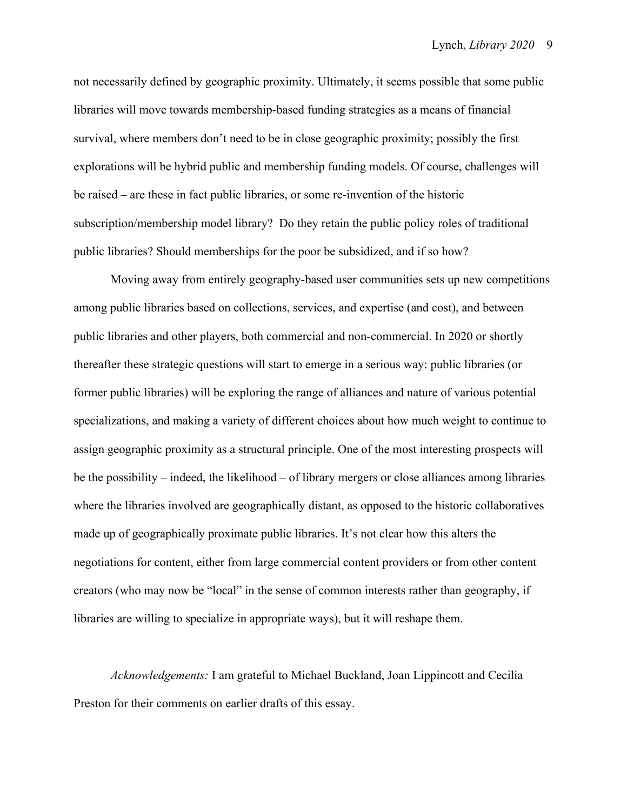not necessarily defined by geographic proximity. Ultimately, it seems possible that some public libraries will move towards membership-based funding strategies as a means of financial survival, where members don't need to be in close geographic proximity; possibly the first explorations will be hybrid public and membership funding models. Of course, challenges will be raised – are these in fact public libraries, or some re-invention of the historic subscription/membership model library? Do they retain the public policy roles of traditional public libraries? Should memberships for the poor be subsidized, and if so how?

Moving away from entirely geography-based user communities sets up new competitions among public libraries based on collections, services, and expertise (and cost), and between public libraries and other players, both commercial and non-commercial. In 2020 or shortly thereafter these strategic questions will start to emerge in a serious way: public libraries (or former public libraries) will be exploring the range of alliances and nature of various potential specializations, and making a variety of different choices about how much weight to continue to assign geographic proximity as a structural principle. One of the most interesting prospects will be the possibility – indeed, the likelihood – of library mergers or close alliances among libraries where the libraries involved are geographically distant, as opposed to the historic collaboratives made up of geographically proximate public libraries. It's not clear how this alters the negotiations for content, either from large commercial content providers or from other content creators (who may now be "local" in the sense of common interests rather than geography, if libraries are willing to specialize in appropriate ways), but it will reshape them.

*Acknowledgements:* I am grateful to Michael Buckland, Joan Lippincott and Cecilia Preston for their comments on earlier drafts of this essay.